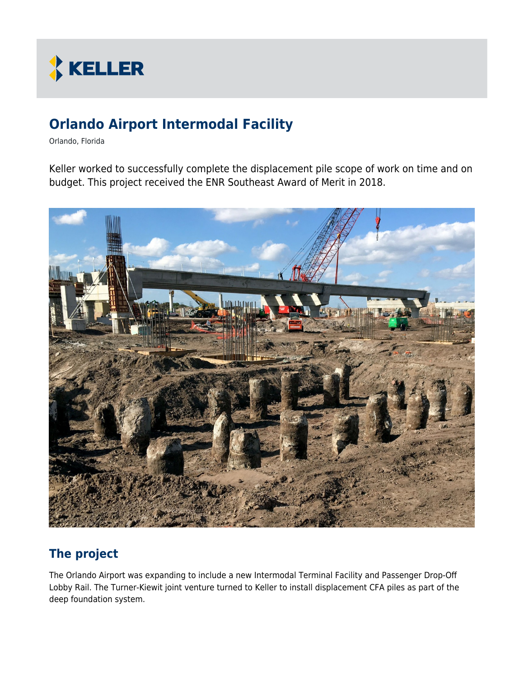

# **Orlando Airport Intermodal Facility**

Orlando, Florida

Keller worked to successfully complete the displacement pile scope of work on time and on budget. This project received the ENR Southeast Award of Merit in 2018.



### **The project**

The Orlando Airport was expanding to include a new Intermodal Terminal Facility and Passenger Drop-Off Lobby Rail. The Turner-Kiewit joint venture turned to Keller to install displacement CFA piles as part of the deep foundation system.